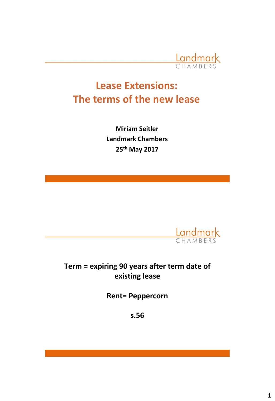

# **Lease Extensions: The terms of the new lease**

**Miriam Seitler Landmark Chambers 25th May 2017**



## **Term = expiring 90 years after term date of existing lease**

**Rent= Peppercorn**

**s.56**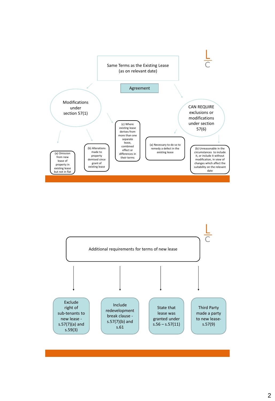

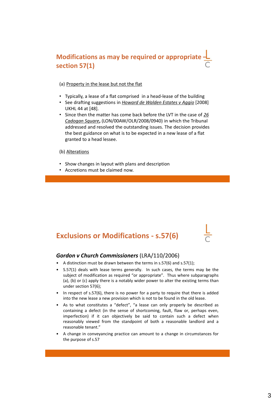#### **Modifications as may be required or appropriat section 57(1)**

#### (a) Property in the lease but not the flat

- Typically, a lease of a flat comprised in a head-lease of the building
- See drafting suggestions in *Howard de Walden Estates v Aggio* [2008] UKHL 44 at [48].
- Since then the matter has come back before the LVT in the case of *26 Cadogan Square***,** (LON/00AW/OLR/2008/0940) in which the Tribunal addressed and resolved the outstanding issues. The decision provides the best guidance on what is to be expected in a new lease of a flat granted to a head lessee.

(b) Alterations

- Show changes in layout with plans and description
- Accretions must be claimed now.

#### **Exclusions or Modifications - s.57(6)**

#### *Gordon v Church Commissioners* (LRA/110/2006)

- A distinction must be drawn between the terms in s.57(6) and s.57(1);
- S.57(1) deals with lease terms generally. In such cases, the terms may be the subject of modification as required "or appropriate". Thus where subparagraphs (a), (b) or (c) apply there is a notably wider power to alter the existing terms than under section 57(6);
- In respect of s.57(6), there is no power for a party to require that there is added into the new lease a new provision which is not to be found in the old lease.
- As to what constitutes a "defect", "a lease can only properly be described as containing a defect (in the sense of shortcoming, fault, flaw or, perhaps even, imperfection) if it can objectively be said to contain such a defect when reasonably viewed from the standpoint of both a reasonable landlord and a reasonable tenant."
- A change in conveyancing practice can amount to a change in circumstances for the purpose of s.57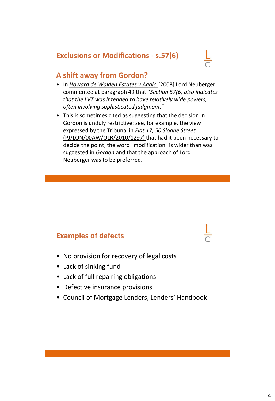#### **Exclusions or Modifications - s.57(6)**



#### **A shift away from Gordon?**

- In *Howard de Walden Estates v Aggio* [2008] Lord Neuberger commented at paragraph 49 that "*Section 57(6) also indicates that the LVT was intended to have relatively wide powers, often involving sophisticated judgment.*"
- This is sometimes cited as suggesting that the decision in Gordon is unduly restrictive: see, for example, the view expressed by the Tribunal in *Flat 17, 50 Sloane Street*  (PJ/LON/00AW/OLR/2010/1297) that had it been necessary to decide the point, the word "modification" is wider than was suggested in *Gordon* and that the approach of Lord Neuberger was to be preferred.

#### **Examples of defects**

- No provision for recovery of legal costs
- Lack of sinking fund
- Lack of full repairing obligations
- Defective insurance provisions
- Council of Mortgage Lenders, Lenders' Handbook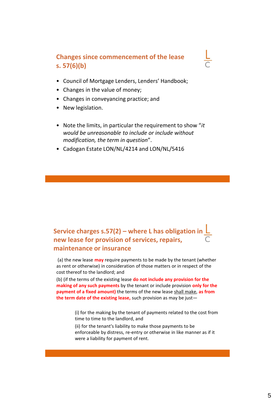#### **Changes since commencement of the lease s. 57(6)(b)**

- Council of Mortgage Lenders, Lenders' Handbook;
- Changes in the value of money;
- Changes in conveyancing practice; and
- New legislation.
- Note the limits, in particular the requirement to show "*it would be unreasonable to include or include without modification, the term in question*".
- Cadogan Estate LON/NL/4214 and LON/NL/5416

### **Service charges s.57(2) – where L has obligation in new lease for provision of services, repairs, maintenance or insurance**

(a) the new lease **may** require payments to be made by the tenant (whether as rent or otherwise) in consideration of those matters or in respect of the cost thereof to the landlord; and

(b) (if the terms of the existing lease **do not include any provision for the making of any such payments** by the tenant or include provision **only for the payment of a fixed amount)** the terms of the new lease shall make, **as from the term date of the existing lease,** such provision as may be just—

> (i) for the making by the tenant of payments related to the cost from time to time to the landlord, and

(ii) for the tenant's liability to make those payments to be enforceable by distress, re-entry or otherwise in like manner as if it were a liability for payment of rent.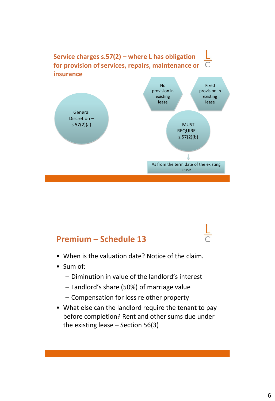

## **Premium – Schedule 13**

- When is the valuation date? Notice of the claim.
- Sum of:
	- Diminution in value of the landlord's interest
	- Landlord's share (50%) of marriage value
	- Compensation for loss re other property
- What else can the landlord require the tenant to pay before completion? Rent and other sums due under the existing lease – Section 56(3)